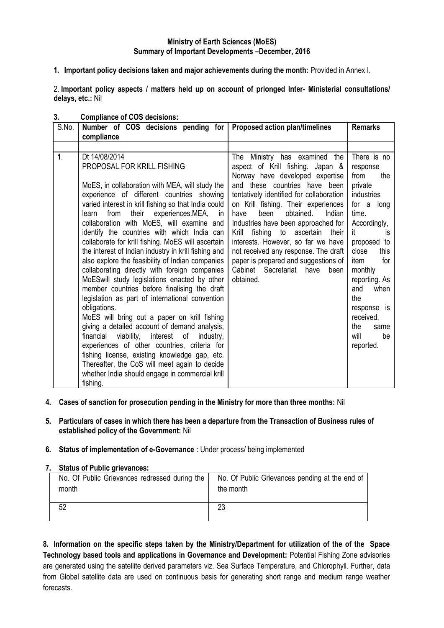# **Ministry of Earth Sciences (MoES) Summary of Important Developments –December, 2016**

**1. Important policy decisions taken and major achievements during the month:** Provided in Annex I.

2. **Important policy aspects / matters held up on account of prlonged Inter- Ministerial consultations/ delays, etc.:** Nil

| S.No.          | Number of COS decisions pending for<br>compliance                                                                                                                                                                                                                                                                                                                                                                                                                                                                                                                                                                                                                                                                                                                                                                                                                                                                                                                                                                                                                                                         | Proposed action plan/timelines                                                                                                                                                                                                                                                                                                                                                                                                                                                                                                | <b>Remarks</b>                                                                                                                                                                                                                                                                                   |
|----------------|-----------------------------------------------------------------------------------------------------------------------------------------------------------------------------------------------------------------------------------------------------------------------------------------------------------------------------------------------------------------------------------------------------------------------------------------------------------------------------------------------------------------------------------------------------------------------------------------------------------------------------------------------------------------------------------------------------------------------------------------------------------------------------------------------------------------------------------------------------------------------------------------------------------------------------------------------------------------------------------------------------------------------------------------------------------------------------------------------------------|-------------------------------------------------------------------------------------------------------------------------------------------------------------------------------------------------------------------------------------------------------------------------------------------------------------------------------------------------------------------------------------------------------------------------------------------------------------------------------------------------------------------------------|--------------------------------------------------------------------------------------------------------------------------------------------------------------------------------------------------------------------------------------------------------------------------------------------------|
|                |                                                                                                                                                                                                                                                                                                                                                                                                                                                                                                                                                                                                                                                                                                                                                                                                                                                                                                                                                                                                                                                                                                           |                                                                                                                                                                                                                                                                                                                                                                                                                                                                                                                               |                                                                                                                                                                                                                                                                                                  |
| 1 <sub>1</sub> | Dt 14/08/2014<br>PROPOSAL FOR KRILL FISHING<br>MoES, in collaboration with MEA, will study the<br>experience of different countries showing<br>varied interest in krill fishing so that India could<br>their<br>from<br>experiences.MEA, in<br>learn<br>collaboration with MoES, will examine and<br>identify the countries with which India can<br>collaborate for krill fishing. MoES will ascertain<br>the interest of Indian industry in krill fishing and<br>also explore the feasibility of Indian companies<br>collaborating directly with foreign companies<br>MoESwill study legislations enacted by other<br>member countries before finalising the draft<br>legislation as part of international convention<br>obligations.<br>MoES will bring out a paper on krill fishing<br>giving a detailed account of demand analysis,<br>financial viability, interest of<br>industry,<br>experiences of other countries, criteria for<br>fishing license, existing knowledge gap, etc.<br>Thereafter, the CoS will meet again to decide<br>whether India should engage in commercial krill<br>fishing. | The<br>Ministry has examined<br>the<br>aspect of Krill fishing. Japan &<br>Norway have developed expertise<br>and these countries have been<br>tentatively identified for collaboration<br>on Krill fishing. Their experiences<br>obtained.<br>been<br>Indian<br>have<br>Industries have been approached for<br>fishing to ascertain<br>Krill<br>their<br>interests. However, so far we have<br>not received any response. The draft<br>paper is prepared and suggestions of<br>Cabinet Secretariat have<br>been<br>obtained. | There is no<br>response<br>from<br>the<br>private<br><b>industries</b><br>for a long<br>time.<br>Accordingly,<br>it<br>is<br>proposed to<br>close<br>this<br>item<br>for<br>monthly<br>reporting. As<br>and<br>when<br>the<br>response is<br>received,<br>the<br>same<br>will<br>be<br>reported. |

# **3. Compliance of COS decisions:**

- **4. Cases of sanction for prosecution pending in the Ministry for more than three months:** Nil
- **5. Particulars of cases in which there has been a departure from the Transaction of Business rules of established policy of the Government:** Nil

### **6. Status of implementation of e-Governance :** Under process/ being implemented

### **7. Status of Public grievances:**

| No. Of Public Grievances redressed during the | No. Of Public Grievances pending at the end of |
|-----------------------------------------------|------------------------------------------------|
| month                                         | the month                                      |
|                                               | 23                                             |

**8. Information on the specific steps taken by the Ministry/Department for utilization of the of the Space Technology based tools and applications in Governance and Development:** Potential Fishing Zone advisories are generated using the satellite derived parameters viz. Sea Surface Temperature, and Chlorophyll. Further, data from Global satellite data are used on continuous basis for generating short range and medium range weather forecasts.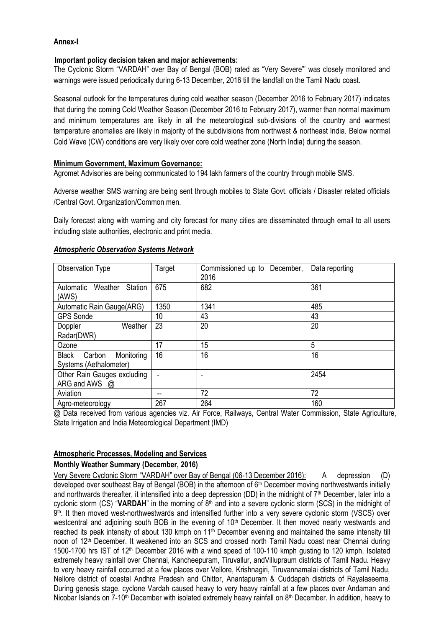# **Annex-I**

### **Important policy decision taken and major achievements:**

The Cyclonic Storm "VARDAH" over Bay of Bengal (BOB) rated as "Very Severe"' was closely monitored and warnings were issued periodically during 6-13 December, 2016 till the landfall on the Tamil Nadu coast.

Seasonal outlook for the temperatures during cold weather season (December 2016 to February 2017) indicates that during the coming Cold Weather Season (December 2016 to February 2017), warmer than normal maximum and minimum temperatures are likely in all the meteorological sub-divisions of the country and warmest temperature anomalies are likely in majority of the subdivisions from northwest & northeast India. Below normal Cold Wave (CW) conditions are very likely over core cold weather zone (North India) during the season.

# **Minimum Government, Maximum Governance:**

Agromet Advisories are being communicated to 194 lakh farmers of the country through mobile SMS.

Adverse weather SMS warning are being sent through mobiles to State Govt. officials / Disaster related officials /Central Govt. Organization/Common men.

Daily forecast along with warning and city forecast for many cities are disseminated through email to all users including state authorities, electronic and print media.

| Observation Type                                               | Target | Commissioned up to December,<br>2016 | Data reporting |
|----------------------------------------------------------------|--------|--------------------------------------|----------------|
| <b>Station</b><br>Weather<br>Automatic<br>(AWS)                | 675    | 682                                  | 361            |
| Automatic Rain Gauge(ARG)                                      | 1350   | 1341                                 | 485            |
| <b>GPS Sonde</b>                                               | 10     | 43                                   | 43             |
| Weather<br>Doppler<br>Radar(DWR)                               | 23     | 20                                   | 20             |
| Ozone                                                          | 17     | 15                                   | 5              |
| Monitoring<br><b>Black</b><br>Carbon<br>Systems (Aethalometer) | 16     | 16                                   | 16             |
| Other Rain Gauges excluding<br>ARG and AWS @                   |        |                                      | 2454           |
| Aviation                                                       |        | 72                                   | 72             |
| Agro-meteorology                                               | 267    | 264                                  | 160            |

#### *Atmospheric Observation Systems Network*

@ Data received from various agencies viz. Air Force, Railways, Central Water Commission, State Agriculture, State Irrigation and India Meteorological Department (IMD)

# **Atmospheric Processes, Modeling and Services**

### **Monthly Weather Summary (December, 2016)**

Very Severe Cyclonic Storm "VARDAH" over Bay of Bengal (06-13 December 2016): A depression (D) developed over southeast Bay of Bengal (BOB) in the afternoon of 6th December moving northwestwards initially and northwards thereafter, it intensified into a deep depression (DD) in the midnight of  $7<sup>th</sup>$  December, later into a cyclonic storm (CS) "VARDAH" in the morning of 8<sup>th</sup> and into a severe cyclonic storm (SCS) in the midnight of 9 th. It then moved west-northwestwards and intensified further into a very severe cyclonic storm (VSCS) over westcentral and adjoining south BOB in the evening of 10<sup>th</sup> December. It then moved nearly westwards and reached its peak intensity of about 130 kmph on  $11<sup>th</sup>$  December evening and maintained the same intensity till noon of 12<sup>th</sup> December. It weakened into an SCS and crossed north Tamil Nadu coast near Chennai during 1500-1700 hrs IST of 12th December 2016 with a wind speed of 100-110 kmph gusting to 120 kmph. Isolated extremely heavy rainfall over Chennai, Kancheepuram, Tiruvallur, andVillupraum districts of Tamil Nadu. Heavy to very heavy rainfall occurred at a few places over Vellore, Krishnagiri, Tiruvannamalai districts of Tamil Nadu, Nellore district of coastal Andhra Pradesh and Chittor, Anantapuram & Cuddapah districts of Rayalaseema. During genesis stage, cyclone Vardah caused heavy to very heavy rainfall at a few places over Andaman and Nicobar Islands on  $7-10<sup>th</sup>$  December with isolated extremely heavy rainfall on  $8<sup>th</sup>$  December. In addition, heavy to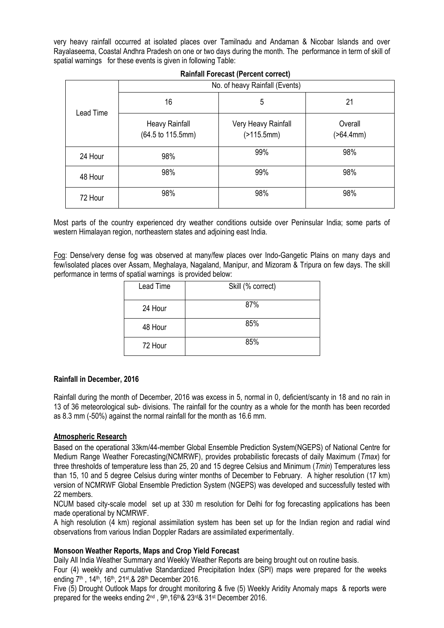very heavy rainfall occurred at isolated places over Tamilnadu and Andaman & Nicobar Islands and over Rayalaseema, Coastal Andhra Pradesh on one or two days during the month. The performance in term of skill of spatial warnings for these events is given in following Table:

|           | No. of heavy Rainfall (Events)      |                                   |                      |  |  |
|-----------|-------------------------------------|-----------------------------------|----------------------|--|--|
| Lead Time | 16                                  | 5                                 | 21                   |  |  |
|           | Heavy Rainfall<br>(64.5 to 115.5mm) | Very Heavy Rainfall<br>(>115.5mm) | Overall<br>(>64.4mm) |  |  |
| 24 Hour   | 98%                                 | 99%                               | 98%                  |  |  |
| 48 Hour   | 98%                                 | 99%                               | 98%                  |  |  |
| 72 Hour   | 98%                                 | 98%                               | 98%                  |  |  |

# **Rainfall Forecast (Percent correct)**

Most parts of the country experienced dry weather conditions outside over Peninsular India; some parts of western Himalayan region, northeastern states and adjoining east India.

Fog: Dense/very dense fog was observed at many/few places over Indo-Gangetic Plains on many days and few/isolated places over Assam, Meghalaya, Nagaland, Manipur, and Mizoram & Tripura on few days. The skill performance in terms of spatial warnings is provided below:

| Lead Time | Skill (% correct) |
|-----------|-------------------|
| 24 Hour   | 87%               |
| 48 Hour   | 85%               |
| 72 Hour   | 85%               |

### **Rainfall in December, 2016**

Rainfall during the month of December, 2016 was excess in 5, normal in 0, deficient/scanty in 18 and no rain in 13 of 36 meteorological sub- divisions. The rainfall for the country as a whole for the month has been recorded as 8.3 mm (-50%) against the normal rainfall for the month as 16.6 mm.

### **Atmospheric Research**

Based on the operational 33km/44-member Global Ensemble Prediction System(NGEPS) of National Centre for Medium Range Weather Forecasting(NCMRWF), provides probabilistic forecasts of daily Maximum (*Tmax*) for three thresholds of temperature less than 25, 20 and 15 degree Celsius and Minimum (*Tmin*) Temperatures less than 15, 10 and 5 degree Celsius during winter months of December to February. A higher resolution (17 km) version of NCMRWF Global Ensemble Prediction System (NGEPS) was developed and successfully tested with 22 members.

NCUM based city-scale model set up at 330 m resolution for Delhi for fog forecasting applications has been made operational by NCMRWF.

A high resolution (4 km) regional assimilation system has been set up for the Indian region and radial wind observations from various Indian Doppler Radars are assimilated experimentally.

### **Monsoon Weather Reports, Maps and Crop Yield Forecast**

Daily All India Weather Summary and Weekly Weather Reports are being brought out on routine basis. Four (4) weekly and cumulative Standardized Precipitation Index (SPI) maps were prepared for the weeks ending 7<sup>th</sup>, 14<sup>th</sup>, 16<sup>th</sup>, 21<sup>st</sup>, & 28<sup>th</sup> December 2016.

Five (5) Drought Outlook Maps for drought monitoring & five (5) Weekly Aridity Anomaly maps & reports were prepared for the weeks ending 2nd , 9th,16th& 23rd& 31st December 2016.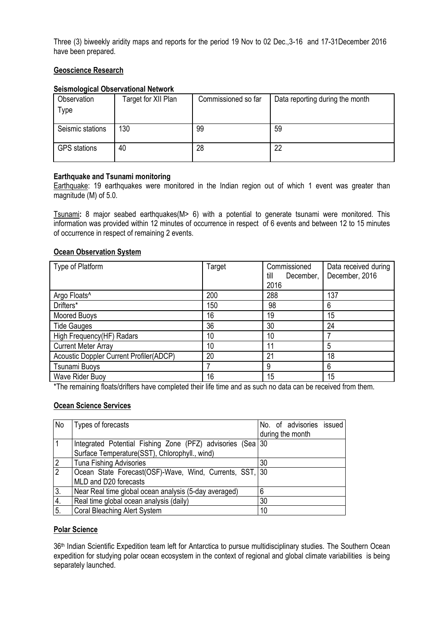Three (3) biweekly aridity maps and reports for the period 19 Nov to 02 Dec.,3-16 and 17-31December 2016 have been prepared.

# **Geoscience Research**

# **Seismological Observational Network**

| Observation         | Target for XII Plan | Commissioned so far | Data reporting during the month |
|---------------------|---------------------|---------------------|---------------------------------|
| <b>Type</b>         |                     |                     |                                 |
|                     |                     |                     |                                 |
| Seismic stations    | 130                 | 99                  | 59                              |
|                     |                     |                     |                                 |
| <b>GPS</b> stations | 40                  | 28                  | 22                              |
|                     |                     |                     |                                 |

# **Earthquake and Tsunami monitoring**

Earthquake: 19 earthquakes were monitored in the Indian region out of which 1 event was greater than magnitude (M) of 5.0.

Tsunami**:** 8 major seabed earthquakes(M> 6) with a potential to generate tsunami were monitored. This information was provided within 12 minutes of occurrence in respect of 6 events and between 12 to 15 minutes of occurrence in respect of remaining 2 events.

# **Ocean Observation System**

| Type of Platform                        | Target | Commissioned<br>till<br>December,<br>2016 | Data received during<br>December, 2016 |
|-----------------------------------------|--------|-------------------------------------------|----------------------------------------|
| Argo Floats <sup>^</sup>                | 200    | 288                                       | 137                                    |
| Drifters*                               | 150    | 98                                        | 6                                      |
| Moored Buoys                            | 16     | 19                                        | 15                                     |
| <b>Tide Gauges</b>                      | 36     | 30                                        | 24                                     |
| High Frequency(HF) Radars               | 10     | 10                                        |                                        |
| <b>Current Meter Array</b>              | 10     | 11                                        | 5                                      |
| Acoustic Doppler Current Profiler(ADCP) | 20     | 21                                        | 18                                     |
| <b>Tsunami Buoys</b>                    |        | 9                                         | 6                                      |
| Wave Rider Buoy                         | 16     | 15                                        | 15                                     |

\*The remaining floats/drifters have completed their life time and as such no data can be received from them.

### **Ocean Science Services**

| No             | Types of forecasts                                         | No. of advisories issued |
|----------------|------------------------------------------------------------|--------------------------|
|                |                                                            | during the month         |
|                | Integrated Potential Fishing Zone (PFZ) advisories (Sea 30 |                          |
|                | Surface Temperature(SST), Chlorophyll., wind)              |                          |
| $\overline{2}$ | <b>Tuna Fishing Advisories</b>                             | 30                       |
| $\overline{2}$ | Ocean State Forecast(OSF)-Wave, Wind, Currents, SST, 30    |                          |
|                | MLD and D20 forecasts                                      |                          |
| 3.             | Near Real time global ocean analysis (5-day averaged)      | 6                        |
| 4.             | Real time global ocean analysis (daily)                    | 30                       |
| 5.             | <b>Coral Bleaching Alert System</b>                        | 10                       |

### **Polar Science**

36th Indian Scientific Expedition team left for Antarctica to pursue multidisciplinary studies. The Southern Ocean expedition for studying polar ocean ecosystem in the context of regional and global climate variabilities is being separately launched.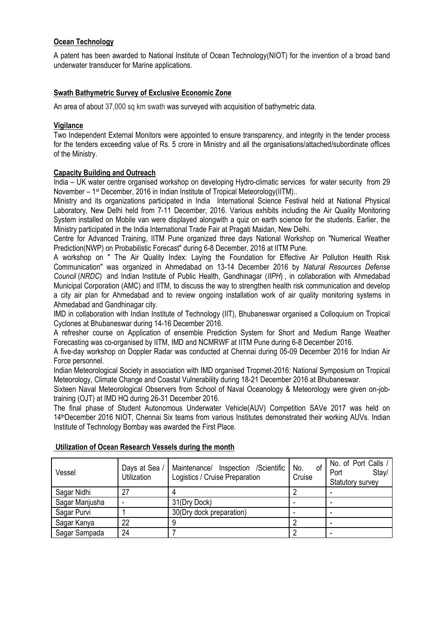# **Ocean Technology**

A patent has been awarded to National Institute of Ocean Technology(NIOT) for the invention of a broad band underwater transducer for Marine applications.

# **Swath Bathymetric Survey of Exclusive Economic Zone**

An area of about 37,000 sq km swath was surveyed with acquisition of bathymetric data.

# **Vigilance**

Two Independent External Monitors were appointed to ensure transparency, and integrity in the tender process for the tenders exceeding value of Rs. 5 crore in Ministry and all the organisations/attached/subordinate offices of the Ministry.

# **Capacity Building and Outreach**

India – UK water centre organised workshop on developing Hydro-climatic services for water security from 29 November – 1<sup>st</sup> December, 2016 in Indian Institute of Tropical Meteorology(IITM)..

Ministry and its organizations participated in India International Science Festival held at National Physical Laboratory, New Delhi held from 7-11 December, 2016. Various exhibits including the Air Quality Monitoring System installed on Mobile van were displayed alongwith a quiz on earth science for the students. Earlier, the Ministry participated in the India International Trade Fair at Pragati Maidan, New Delhi.

Centre for Advanced Training, IITM Pune organized three days National Workshop on "Numerical Weather Prediction(NWP) on Probabilistic Forecast" during 6-8 December, 2016 at IITM Pune.

A workshop on " The Air Quality Index: Laying the Foundation for Effective Air Pollution Health Risk Communication" was organized in Ahmedabad on 13-14 December 2016 by *Natural Resources Defense Council* (*NRDC*) and Indian Institute of Public Health, Gandhinagar (*IIPH*) , in collaboration with Ahmedabad Municipal Corporation (AMC) and IITM, to discuss the way to strengthen health risk communication and develop a city air plan for Ahmedabad and to review ongoing installation work of air quality monitoring systems in Ahmedabad and Gandhinagar city.

IMD in collaboration with Indian Institute of Technology (IIT), Bhubaneswar organised a Colloquium on Tropical Cyclones at Bhubaneswar during 14-16 December 2016.

A refresher course on Application of ensemble Prediction System for Short and Medium Range Weather Forecasting was co-organised by IITM, IMD and NCMRWF at IITM Pune during 6-8 December 2016.

A five-day workshop on Doppler Radar was conducted at Chennai during 05-09 December 2016 for Indian Air Force personnel.

Indian Meteorological Society in association with IMD organised Tropmet-2016: National Symposium on Tropical Meteorology, Climate Change and Coastal Vulnerability during 18-21 December 2016 at Bhubaneswar.

Sixteen Naval Meteorological Observers from School of Naval Oceanology & Meteorology were given on-jobtraining (OJT) at IMD HQ during 26-31 December 2016.

The final phase of Student Autonomous Underwater Vehicle(AUV) Competition SAVe 2017 was held on 14thDecember 2016 NIOT, Chennai Six teams from various Institutes demonstrated their working AUVs. Indian Institute of Technology Bombay was awarded the First Place.

| Vessel         | Days at Sea /<br><b>Utilization</b> | Maintenance/<br>Inspection /Scientific<br>Logistics / Cruise Preparation | No.<br>οf<br>Cruise | No. of Port Calls /<br>Stay/<br>Port<br>Statutory survey |
|----------------|-------------------------------------|--------------------------------------------------------------------------|---------------------|----------------------------------------------------------|
| Sagar Nidhi    | 27                                  |                                                                          |                     |                                                          |
| Sagar Manjusha |                                     | 31(Dry Dock)                                                             |                     |                                                          |
| Sagar Purvi    |                                     | 30(Dry dock preparation)                                                 |                     |                                                          |
| Sagar Kanya    | 22                                  |                                                                          |                     |                                                          |
| Sagar Sampada  | 24                                  |                                                                          |                     |                                                          |

### **Utilization of Ocean Research Vessels during the month**